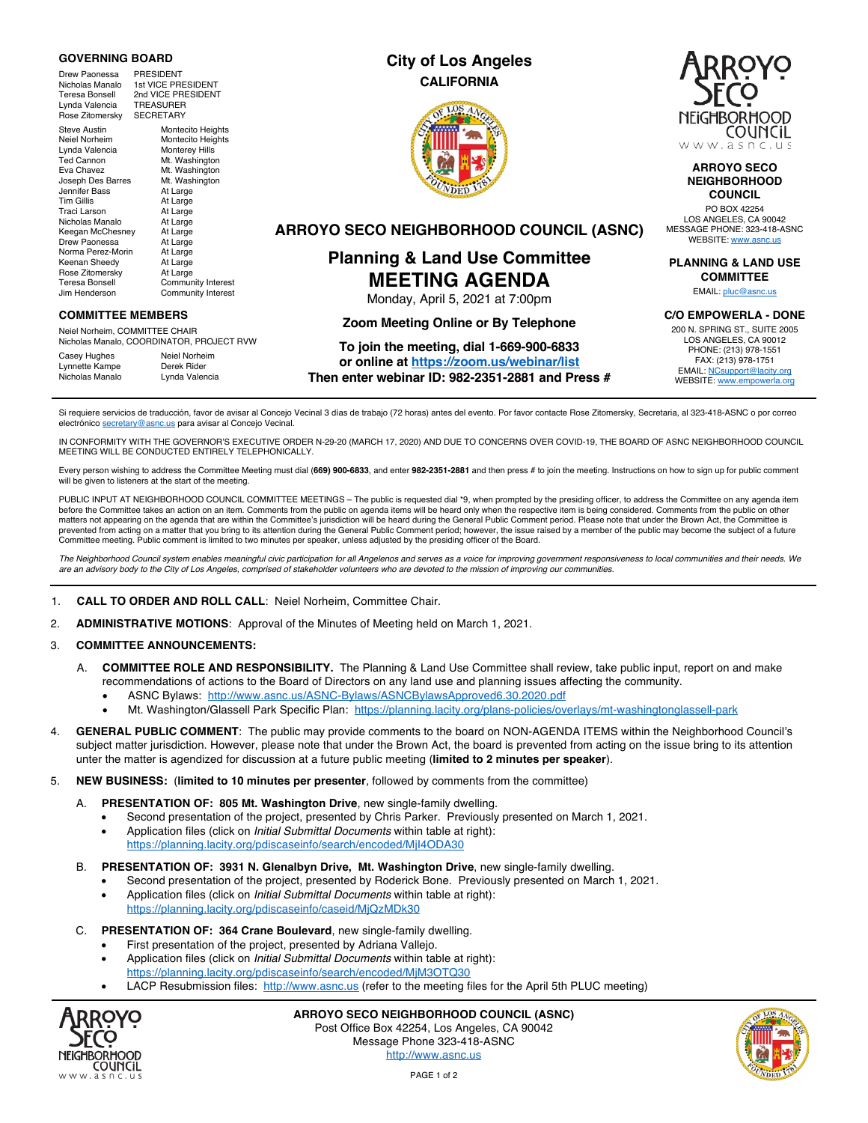### **GOVERNING BOARD**

Drew Paonessa PRESIDENT<br>Nicholas Manalo 1st VICE PRI 1st VICE PRESIDENT Teresa Bonsell<br>Teresa Bonsell 2nd VICE PRESIDENT<br>Lynda Valencia TREASURER Lynda Valencia TREASURER<br>Rose Zitomersky SECRETARY Rose Zitomersky

Steve Austin Montecito Heights Neiel Norheim Montecito Heights<br>Lynda Valencia Monterey Hills Lynda Valencia<br>Ted Cannon Ted Cannon Mt. Washington<br>
Fya Chavez<br>
Mt. Washington Mt. Washington<br>Mt. Washington Joseph Des Barres Mt. Wash<br>Jennifer Bass At Large Jennifer Bass<br>Tim Gillis At Large Traci Larson At Large<br>Nicholas Manalo At Large Nicholas Manalo At Large<br>Keegan McChesney At Large Keegan McChesney At Large<br>Drew Paonessa At Large Drew Paonessa Norma Perez-Morin At Large<br>Keenan Sheedy At Large Keenan Sheedy At Large<br>
Rose Zitomersky At Large Rose Zitomersky<br>Teresa Bonsell

Teresa Bonsell Community Interest<br>Jim Henderson Community Interest Community Interest

### **COMMITTEE MEMBERS**

Neiel Norheim, COMMITTEE CHAIR Nicholas Manalo, COORDINATOR, PROJECT RVW

Casey Hughes Neiel Norheim<br>
Lynnette Kampe Derek Rider Lynnette Kampe<br>Nicholas Manalo Lynda Valencia

### **City of Los Angeles CALIFORNIA**





### **ARROYO SECO NEIGHBORHOOD COUNCIL**

PO BOX 42254 LOS ANGELES, CA 90042 MESSAGE PHONE: 323-418-ASNC WEBSITE: www.asnc.us

**PLANNING & LAND USE COMMITTEE**

EMAIL: pluc@asnc.us

### **C/O EMPOWERLA - DONE**

200 N. SPRING ST., SUITE 2005 LOS ANGELES, CA 90012 PHONE: (213) 978-1551 FAX: (213) 978-1751 EMAIL: NCsupport@lacity.org WEBSITE: www.empowerla.org

**ARROYO SECO NEIGHBORHOOD COUNCIL (ASNC)**

## **Planning & Land Use Committee MEETING AGENDA** Monday, April 5, 2021 at 7:00pm

## **Zoom Meeting Online or By Telephone**

# **To join the meeting, dial 1-669-900-6833**

**or online at https://zoom.us/webinar/list Then enter webinar ID: 982-2351-2881 and Press #**

Si requiere servicios de traducción, favor de avisar al Concejo Vecinal 3 días de trabajo (72 horas) antes del evento. Por favor contacte Rose Zitomersky, Secretaria, al 323-418-ASNC o por correo electrónico secretary@asnc.us para avisar al Concejo Vecinal.

IN CONFORMITY WITH THE GOVERNOR'S EXECUTIVE ORDER N-29-20 (MARCH 17, 2020) AND DUE TO CONCERNS OVER COVID-19, THE BOARD OF ASNC NEIGHBORHOOD COUNCIL MEETING WILL BE CONDUCTED ENTIRELY TELEPHONICALLY.

Every person wishing to address the Committee Meeting must dial (**669) 900-6833**, and enter **982-2351-2881** and then press # to join the meeting. Instructions on how to sign up for public comment will be given to listeners at the start of the meeting.

PUBLIC INPUT AT NEIGHBORHOOD COUNCIL COMMITTEE MEETINGS – The public is requested dial \*9, when prompted by the presiding officer, to address the Committee on any agenda item before the Committee takes an action on an item. Comments from the public on agenda items will be heard only when the respective item is being considered. Comments from the public on other matters not appearing on the agenda that are within the Committee's jurisdiction will be heard during the General Public Comment period. Please note that under the Brown Act, the Committee is prevented from acting on a matter that you bring to its attention during the General Public Comment period; however, the issue raised by a member of the public may become the subject of a future Committee meeting. Public comment is limited to two minutes per speaker, unless adjusted by the presiding officer of the Board.

*The Neighborhood Council system enables meaningful civic participation for all Angelenos and serves as a voice for improving government responsiveness to local communities and their needs. We are an advisory body to the City of Los Angeles, comprised of stakeholder volunteers who are devoted to the mission of improving our communities.*

### 1. **CALL TO ORDER AND ROLL CALL**: Neiel Norheim, Committee Chair.

2. **ADMINISTRATIVE MOTIONS**: Approval of the Minutes of Meeting held on March 1, 2021.

### 3. **COMMITTEE ANNOUNCEMENTS:**

- A. **COMMITTEE ROLE AND RESPONSIBILITY.** The Planning & Land Use Committee shall review, take public input, report on and make recommendations of actions to the Board of Directors on any land use and planning issues affecting the community.
	- ASNC Bylaws: http://www.asnc.us/ASNC-Bylaws/ASNCBylawsApproved6.30.2020.pdf
	- Mt. Washington/Glassell Park Specific Plan: https://planning.lacity.org/plans-policies/overlays/mt-washingtonglassell-park
- 4. **GENERAL PUBLIC COMMENT**: The public may provide comments to the board on NON-AGENDA ITEMS within the Neighborhood Council's subject matter jurisdiction. However, please note that under the Brown Act, the board is prevented from acting on the issue bring to its attention unter the matter is agendized for discussion at a future public meeting (**limited to 2 minutes per speaker**).
- 5. **NEW BUSINESS:** (**limited to 10 minutes per presenter**, followed by comments from the committee)
	- A. **PRESENTATION OF: 805 Mt. Washington Drive**, new single-family dwelling.
		- Second presentation of the project, presented by Chris Parker. Previously presented on March 1, 2021.
		- Application files (click on *Initial Submittal Documents* within table at right): https://planning.lacity.org/pdiscaseinfo/search/encoded/MjI4ODA30
	- B. **PRESENTATION OF: 3931 N. Glenalbyn Drive, Mt. Washington Drive**, new single-family dwelling.
		- Second presentation of the project, presented by Roderick Bone. Previously presented on March 1, 2021. • Application files (click on *Initial Submittal Documents* within table at right):
		- https://planning.lacity.org/pdiscaseinfo/caseid/MjQzMDk30
	- C. **PRESENTATION OF: 364 Crane Boulevard**, new single-family dwelling.
		- First presentation of the project, presented by Adriana Vallejo.
		- Application files (click on *Initial Submittal Documents* within table at right): https://planning.lacity.org/pdiscaseinfo/search/encoded/MjM3OTQ30
		- LACP Resubmission files: http://www.asnc.us (refer to the meeting files for the April 5th PLUC meeting)



**ARROYO SECO NEIGHBORHOOD COUNCIL (ASNC)** Post Office Box 42254, Los Angeles, CA 90042 Message Phone 323-418-ASNC http://www.asnc.us